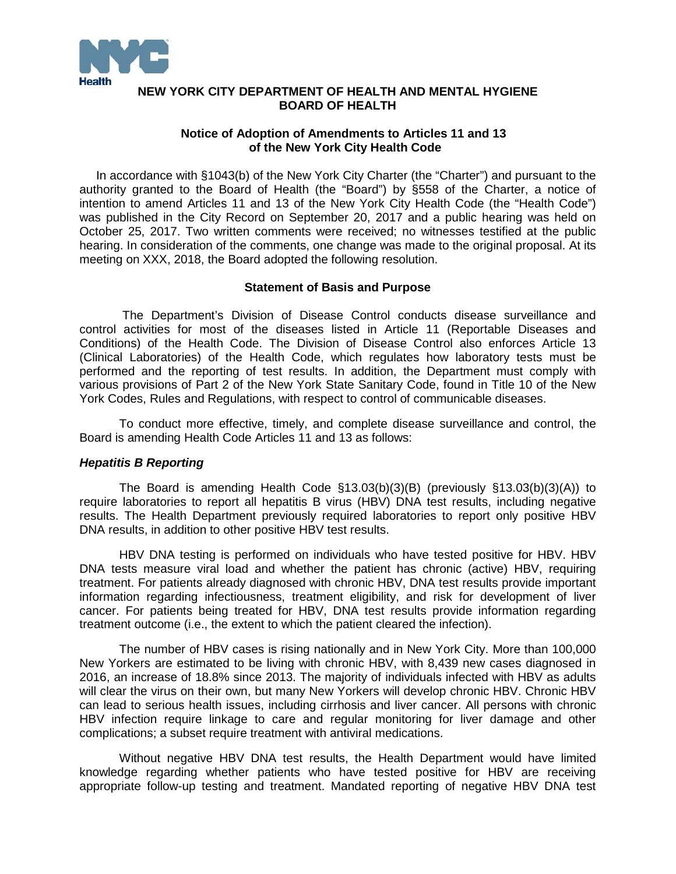

### **NEW YORK CITY DEPARTMENT OF HEALTH AND MENTAL HYGIENE BOARD OF HEALTH**

#### **Notice of Adoption of Amendments to Articles 11 and 13 of the New York City Health Code**

 In accordance with §1043(b) of the New York City Charter (the "Charter") and pursuant to the authority granted to the Board of Health (the "Board") by §558 of the Charter, a notice of intention to amend Articles 11 and 13 of the New York City Health Code (the "Health Code") was published in the City Record on September 20, 2017 and a public hearing was held on October 25, 2017. Two written comments were received; no witnesses testified at the public hearing. In consideration of the comments, one change was made to the original proposal. At its meeting on XXX, 2018, the Board adopted the following resolution.

#### **Statement of Basis and Purpose**

The Department's Division of Disease Control conducts disease surveillance and control activities for most of the diseases listed in Article 11 (Reportable Diseases and Conditions) of the Health Code. The Division of Disease Control also enforces Article 13 (Clinical Laboratories) of the Health Code, which regulates how laboratory tests must be performed and the reporting of test results. In addition, the Department must comply with various provisions of Part 2 of the New York State Sanitary Code, found in Title 10 of the New York Codes, Rules and Regulations, with respect to control of communicable diseases.

To conduct more effective, timely, and complete disease surveillance and control, the Board is amending Health Code Articles 11 and 13 as follows:

#### *Hepatitis B Reporting*

The Board is amending Health Code §13.03(b)(3)(B) (previously §13.03(b)(3)(A)) to require laboratories to report all hepatitis B virus (HBV) DNA test results, including negative results. The Health Department previously required laboratories to report only positive HBV DNA results, in addition to other positive HBV test results.

HBV DNA testing is performed on individuals who have tested positive for HBV. HBV DNA tests measure viral load and whether the patient has chronic (active) HBV, requiring treatment. For patients already diagnosed with chronic HBV, DNA test results provide important information regarding infectiousness, treatment eligibility, and risk for development of liver cancer. For patients being treated for HBV, DNA test results provide information regarding treatment outcome (i.e., the extent to which the patient cleared the infection).

The number of HBV cases is rising nationally and in New York City. More than 100,000 New Yorkers are estimated to be living with chronic HBV, with 8,439 new cases diagnosed in 2016, an increase of 18.8% since 2013. The majority of individuals infected with HBV as adults will clear the virus on their own, but many New Yorkers will develop chronic HBV. Chronic HBV can lead to serious health issues, including cirrhosis and liver cancer. All persons with chronic HBV infection require linkage to care and regular monitoring for liver damage and other complications; a subset require treatment with antiviral medications.

Without negative HBV DNA test results, the Health Department would have limited knowledge regarding whether patients who have tested positive for HBV are receiving appropriate follow-up testing and treatment. Mandated reporting of negative HBV DNA test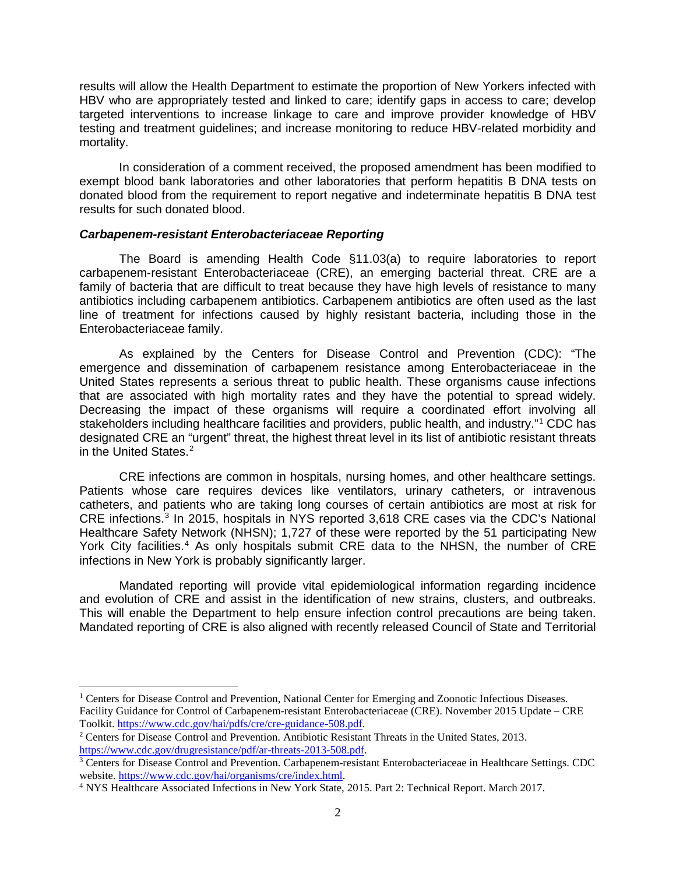results will allow the Health Department to estimate the proportion of New Yorkers infected with HBV who are appropriately tested and linked to care; identify gaps in access to care; develop targeted interventions to increase linkage to care and improve provider knowledge of HBV testing and treatment guidelines; and increase monitoring to reduce HBV-related morbidity and mortality.

In consideration of a comment received, the proposed amendment has been modified to exempt blood bank laboratories and other laboratories that perform hepatitis B DNA tests on donated blood from the requirement to report negative and indeterminate hepatitis B DNA test results for such donated blood.

#### *Carbapenem-resistant Enterobacteriaceae Reporting*

The Board is amending Health Code §11.03(a) to require laboratories to report carbapenem-resistant Enterobacteriaceae (CRE), an emerging bacterial threat. CRE are a family of bacteria that are difficult to treat because they have high levels of resistance to many antibiotics including carbapenem antibiotics. Carbapenem antibiotics are often used as the last line of treatment for infections caused by highly resistant bacteria, including those in the Enterobacteriaceae family.

As explained by the Centers for Disease Control and Prevention (CDC): "The emergence and dissemination of carbapenem resistance among Enterobacteriaceae in the United States represents a serious threat to public health. These organisms cause infections that are associated with high mortality rates and they have the potential to spread widely. Decreasing the impact of these organisms will require a coordinated effort involving all stakeholders including healthcare facilities and providers, public health, and industry."[1](#page-1-0) CDC has designated CRE an "urgent" threat, the highest threat level in its list of antibiotic resistant threats in the United States.<sup>[2](#page-1-1)</sup>

CRE infections are common in hospitals, nursing homes, and other healthcare settings. Patients whose care requires devices like ventilators, urinary catheters, or intravenous catheters, and patients who are taking long courses of certain antibiotics are most at risk for CRE infections.[3](#page-1-2) In 2015, hospitals in NYS reported 3,618 CRE cases via the CDC's National Healthcare Safety Network (NHSN); 1,727 of these were reported by the 51 participating New York City facilities.<sup>[4](#page-1-3)</sup> As only hospitals submit CRE data to the NHSN, the number of CRE infections in New York is probably significantly larger.

Mandated reporting will provide vital epidemiological information regarding incidence and evolution of CRE and assist in the identification of new strains, clusters, and outbreaks. This will enable the Department to help ensure infection control precautions are being taken. Mandated reporting of CRE is also aligned with recently released Council of State and Territorial

 $\overline{\phantom{a}}$ 

<span id="page-1-0"></span><sup>&</sup>lt;sup>1</sup> Centers for Disease Control and Prevention, National Center for Emerging and Zoonotic Infectious Diseases. Facility Guidance for Control of Carbapenem-resistant Enterobacteriaceae (CRE). November 2015 Update – CRE Toolkit. [https://www.cdc.gov/hai/pdfs/cre/cre-guidance-508.pdf.](https://www.cdc.gov/hai/pdfs/cre/cre-guidance-508.pdf)

<span id="page-1-1"></span><sup>2</sup> Centers for Disease Control and Prevention. Antibiotic Resistant Threats in the United States, 2013. [https://www.cdc.gov/drugresistance/pdf/ar-threats-2013-508.pdf.](https://www.cdc.gov/drugresistance/pdf/ar-threats-2013-508.pdf)

<span id="page-1-2"></span><sup>&</sup>lt;sup>3</sup> Centers for Disease Control and Prevention. Carbapenem-resistant Enterobacteriaceae in Healthcare Settings. CDC website. [https://www.cdc.gov/hai/organisms/cre/index.html.](https://www.cdc.gov/hai/organisms/cre/index.html)

<span id="page-1-3"></span><sup>4</sup> NYS Healthcare Associated Infections in New York State, 2015. Part 2: Technical Report. March 2017.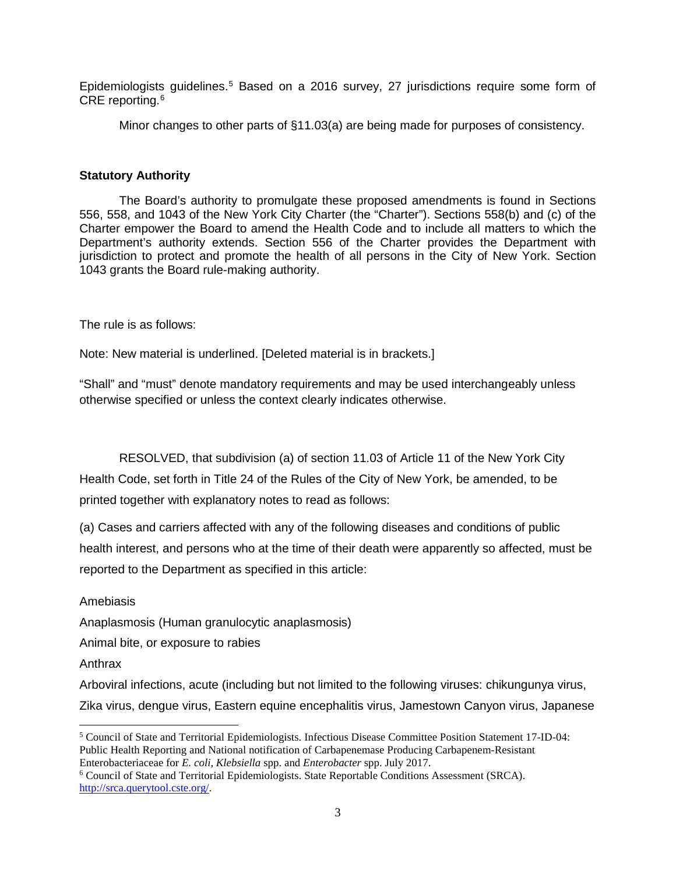Epidemiologists guidelines.<sup>[5](#page-2-0)</sup> Based on a 2016 survey, 27 jurisdictions require some form of CRE reporting. [6](#page-2-1)

Minor changes to other parts of §11.03(a) are being made for purposes of consistency.

# **Statutory Authority**

The Board's authority to promulgate these proposed amendments is found in Sections 556, 558, and 1043 of the New York City Charter (the "Charter"). Sections 558(b) and (c) of the Charter empower the Board to amend the Health Code and to include all matters to which the Department's authority extends. Section 556 of the Charter provides the Department with jurisdiction to protect and promote the health of all persons in the City of New York. Section 1043 grants the Board rule-making authority.

The rule is as follows:

Note: New material is underlined. [Deleted material is in brackets.]

"Shall" and "must" denote mandatory requirements and may be used interchangeably unless otherwise specified or unless the context clearly indicates otherwise.

RESOLVED, that subdivision (a) of section 11.03 of Article 11 of the New York City Health Code, set forth in Title 24 of the Rules of the City of New York, be amended, to be printed together with explanatory notes to read as follows:

(a) Cases and carriers affected with any of the following diseases and conditions of public health interest, and persons who at the time of their death were apparently so affected, must be reported to the Department as specified in this article:

Amebiasis

Anaplasmosis (Human granulocytic anaplasmosis)

Animal bite, or exposure to rabies

Anthrax

Arboviral infections, acute (including but not limited to the following viruses: chikungunya virus, Zika virus, dengue virus, Eastern equine encephalitis virus, Jamestown Canyon virus, Japanese

<span id="page-2-0"></span> $\overline{\phantom{a}}$ <sup>5</sup> Council of State and Territorial Epidemiologists. Infectious Disease Committee Position Statement 17-ID-04: Public Health Reporting and National notification of Carbapenemase Producing Carbapenem-Resistant Enterobacteriaceae for *E. coli, Klebsiella* spp. and *Enterobacter* spp. July 2017.

<span id="page-2-1"></span><sup>6</sup> Council of State and Territorial Epidemiologists. State Reportable Conditions Assessment (SRCA). [http://srca.querytool.cste.org/.](http://srca.querytool.cste.org/)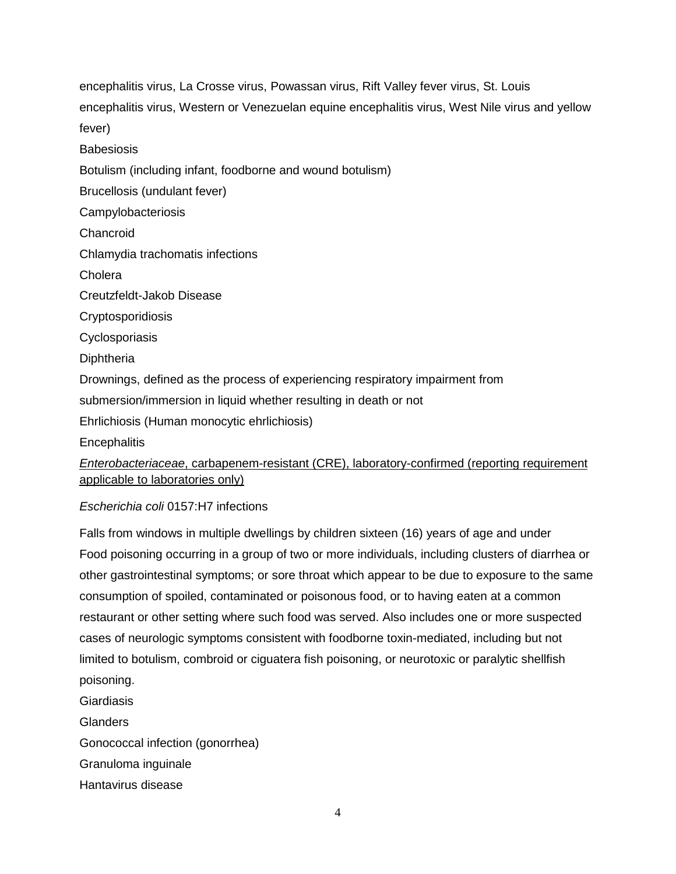encephalitis virus, La Crosse virus, Powassan virus, Rift Valley fever virus, St. Louis encephalitis virus, Western or Venezuelan equine encephalitis virus, West Nile virus and yellow fever)

**Babesiosis** 

Botulism (including infant, foodborne and wound botulism)

Brucellosis (undulant fever)

Campylobacteriosis

Chancroid

Chlamydia trachomatis infections

**Cholera** 

Creutzfeldt-Jakob Disease

Cryptosporidiosis

**Cyclosporiasis** 

**Diphtheria** 

Drownings, defined as the process of experiencing respiratory impairment from

submersion/immersion in liquid whether resulting in death or not

Ehrlichiosis (Human monocytic ehrlichiosis)

**Encephalitis** 

*Enterobacteriaceae*, carbapenem-resistant (CRE), laboratory-confirmed (reporting requirement applicable to laboratories only)

## *Escherichia coli* 0157:H7 infections

Falls from windows in multiple dwellings by children sixteen (16) years of age and under Food poisoning occurring in a group of two or more individuals, including clusters of diarrhea or other gastrointestinal symptoms; or sore throat which appear to be due to exposure to the same consumption of spoiled, contaminated or poisonous food, or to having eaten at a common restaurant or other setting where such food was served. Also includes one or more suspected cases of neurologic symptoms consistent with foodborne toxin-mediated, including but not limited to botulism, combroid or ciguatera fish poisoning, or neurotoxic or paralytic shellfish poisoning. Giardiasis

**Glanders** 

Gonococcal infection (gonorrhea)

Granuloma inguinale

Hantavirus disease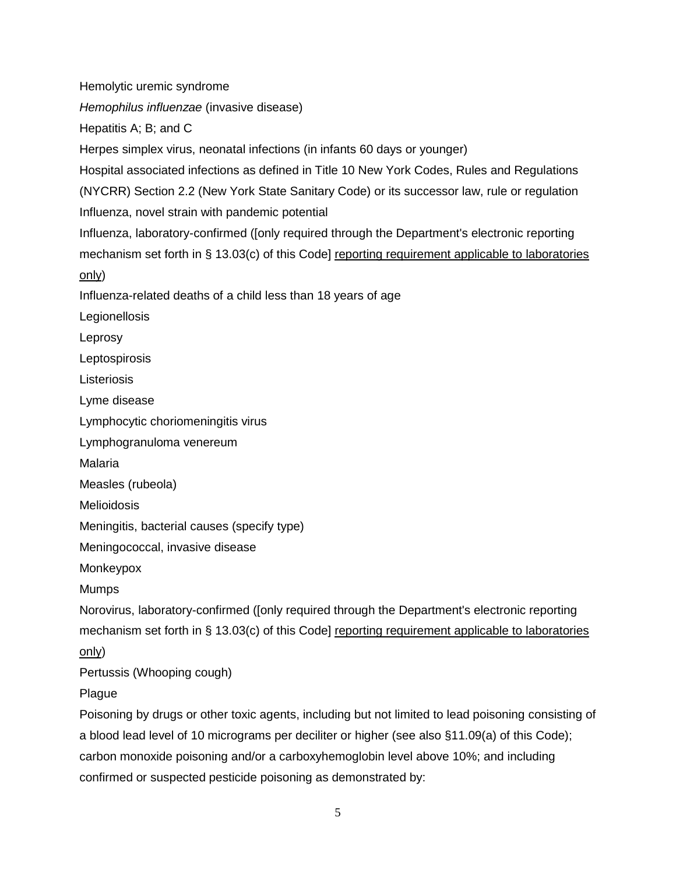Hemolytic uremic syndrome

*Hemophilus influenzae* (invasive disease)

Hepatitis A; B; and C

Herpes simplex virus, neonatal infections (in infants 60 days or younger)

Hospital associated infections as defined in Title 10 New York Codes, Rules and Regulations (NYCRR) Section 2.2 (New York State Sanitary Code) or its successor law, rule or regulation Influenza, novel strain with pandemic potential

Influenza, laboratory-confirmed ([only required through the Department's electronic reporting mechanism set forth in § 13.03(c) of this Code] reporting requirement applicable to laboratories only)

Influenza-related deaths of a child less than 18 years of age

Legionellosis

Leprosy

**Leptospirosis** 

**Listeriosis** 

Lyme disease

Lymphocytic choriomeningitis virus

Lymphogranuloma venereum

Malaria

Measles (rubeola)

**Melioidosis** 

Meningitis, bacterial causes (specify type)

Meningococcal, invasive disease

Monkeypox

Mumps

Norovirus, laboratory-confirmed ([only required through the Department's electronic reporting mechanism set forth in § 13.03(c) of this Code] reporting requirement applicable to laboratories only)

Pertussis (Whooping cough)

Plague

Poisoning by drugs or other toxic agents, including but not limited to lead poisoning consisting of a blood lead level of 10 micrograms per deciliter or higher (see also §11.09(a) of this Code); carbon monoxide poisoning and/or a carboxyhemoglobin level above 10%; and including confirmed or suspected pesticide poisoning as demonstrated by: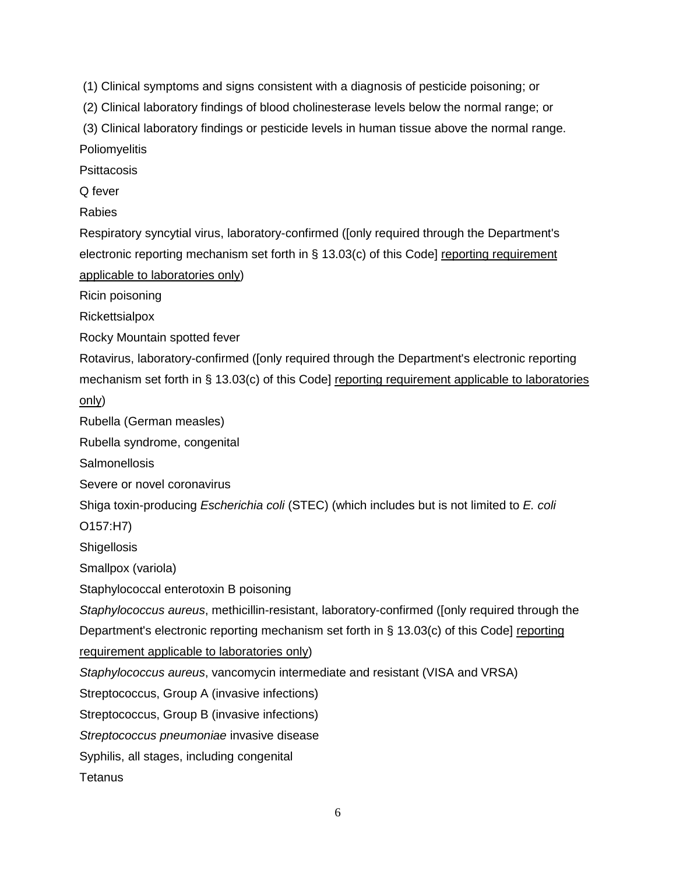(1) Clinical symptoms and signs consistent with a diagnosis of pesticide poisoning; or

(2) Clinical laboratory findings of blood cholinesterase levels below the normal range; or

(3) Clinical laboratory findings or pesticide levels in human tissue above the normal range. **Poliomyelitis** 

**Psittacosis** 

Q fever

Rabies

Respiratory syncytial virus, laboratory-confirmed ([only required through the Department's electronic reporting mechanism set forth in § 13.03(c) of this Code] reporting requirement applicable to laboratories only)

Ricin poisoning

Rickettsialpox

Rocky Mountain spotted fever

Rotavirus, laboratory-confirmed ([only required through the Department's electronic reporting mechanism set forth in § 13.03(c) of this Code] reporting requirement applicable to laboratories only)

Rubella (German measles)

Rubella syndrome, congenital

Salmonellosis

Severe or novel coronavirus

Shiga toxin-producing *Escherichia coli* (STEC) (which includes but is not limited to *E. coli*

O157:H7)

**Shigellosis** 

Smallpox (variola)

Staphylococcal enterotoxin B poisoning

*Staphylococcus aureus*, methicillin-resistant, laboratory-confirmed ([only required through the

Department's electronic reporting mechanism set forth in § 13.03(c) of this Code] reporting

requirement applicable to laboratories only)

*Staphylococcus aureus*, vancomycin intermediate and resistant (VISA and VRSA)

Streptococcus, Group A (invasive infections)

Streptococcus, Group B (invasive infections)

*Streptococcus pneumoniae* invasive disease

Syphilis, all stages, including congenital

**Tetanus**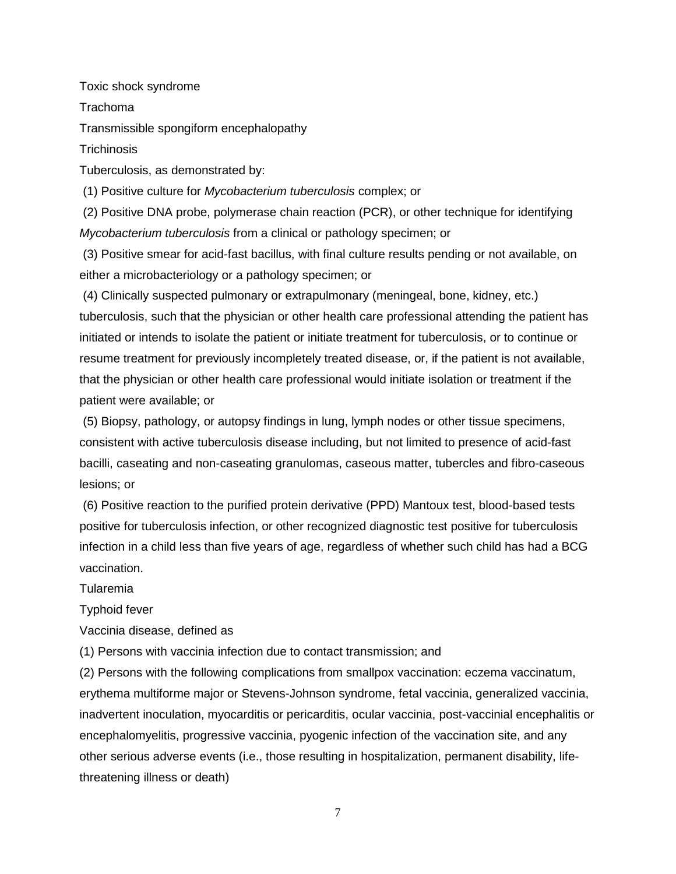Toxic shock syndrome

Trachoma

Transmissible spongiform encephalopathy

**Trichinosis** 

Tuberculosis, as demonstrated by:

(1) Positive culture for *Mycobacterium tuberculosis* complex; or

(2) Positive DNA probe, polymerase chain reaction (PCR), or other technique for identifying *Mycobacterium tuberculosis* from a clinical or pathology specimen; or

(3) Positive smear for acid-fast bacillus, with final culture results pending or not available, on either a microbacteriology or a pathology specimen; or

(4) Clinically suspected pulmonary or extrapulmonary (meningeal, bone, kidney, etc.) tuberculosis, such that the physician or other health care professional attending the patient has initiated or intends to isolate the patient or initiate treatment for tuberculosis, or to continue or resume treatment for previously incompletely treated disease, or, if the patient is not available, that the physician or other health care professional would initiate isolation or treatment if the patient were available; or

(5) Biopsy, pathology, or autopsy findings in lung, lymph nodes or other tissue specimens, consistent with active tuberculosis disease including, but not limited to presence of acid-fast bacilli, caseating and non-caseating granulomas, caseous matter, tubercles and fibro-caseous lesions; or

(6) Positive reaction to the purified protein derivative (PPD) Mantoux test, blood-based tests positive for tuberculosis infection, or other recognized diagnostic test positive for tuberculosis infection in a child less than five years of age, regardless of whether such child has had a BCG vaccination.

Tularemia

Typhoid fever

Vaccinia disease, defined as

(1) Persons with vaccinia infection due to contact transmission; and

(2) Persons with the following complications from smallpox vaccination: eczema vaccinatum, erythema multiforme major or Stevens-Johnson syndrome, fetal vaccinia, generalized vaccinia, inadvertent inoculation, myocarditis or pericarditis, ocular vaccinia, post-vaccinial encephalitis or encephalomyelitis, progressive vaccinia, pyogenic infection of the vaccination site, and any other serious adverse events (i.e., those resulting in hospitalization, permanent disability, lifethreatening illness or death)

7